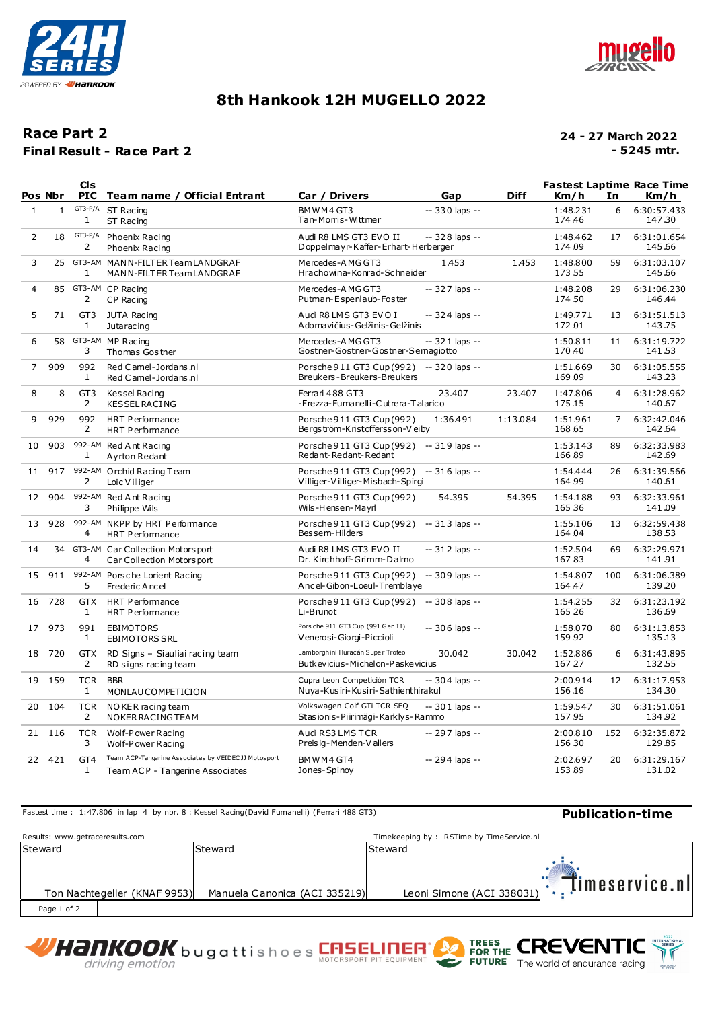



## **8th Hankook 12H MUGELLO 2022**

### **Final Result - Race Part 2 Race Part 2**

#### **24 - 27 March 2022 - 5245 mtr.**

|                | Pos Nbr      | C <sub>1s</sub><br><b>PIC</b>   | Team name / Official Entrant                                                            | Car / Drivers                                                                | Gap             | <b>Diff</b> | <b>Fastest Laptime Race Time</b><br>Km/h | In             | Km/h                  |
|----------------|--------------|---------------------------------|-----------------------------------------------------------------------------------------|------------------------------------------------------------------------------|-----------------|-------------|------------------------------------------|----------------|-----------------------|
| $\mathbf{1}$   | $\mathbf{1}$ | $GT3-P/A$<br>$\mathbf{1}$       | ST Racing<br>ST Racing                                                                  | BMWM4GT3<br>Tan-Morris-Wittmer                                               | $-330$ laps $-$ |             | 1:48.231<br>174.46                       | 6              | 6:30:57.433<br>147.30 |
| $\overline{2}$ | 18           | $GT3-P/A$<br>2                  | Phoenix Racing<br>Phoenix Racing                                                        | Audi R8 LMS GT3 EVO II<br>Doppelmayr-Kaffer-Erhart-Herberger                 | -- 328 laps --  |             | 1:48.462<br>174.09                       | 17             | 6:31:01.654<br>145.66 |
| 3              | 25           | 1                               | GT3-AM MANN-FILTER Team LANDGRAF<br>MANN-FILTER Team LANDGRAF                           | Mercedes-AMG GT3<br>Hrachowina-Konrad-Schneider                              | 1.453           | 1.453       | 1:48.800<br>173.55                       | 59             | 6:31:03.107<br>145.66 |
| 4              | 85           | 2                               | GT3-AM CP Racing<br>CP Racing                                                           | Mercedes-AMG GT3<br>Putman-Espenlaub-Foster                                  | -- 327 laps --  |             | 1:48.208<br>174.50                       | 29             | 6:31:06.230<br>146.44 |
| 5              | 71           | GT <sub>3</sub><br>$\mathbf{1}$ | JUTA Racing<br>Jutaracing                                                               | Audi R8 LMS GT3 EVO I<br>Adomavičius-Gelžinis-Gelžinis                       | -- 324 laps --  |             | 1:49.771<br>172.01                       | 13             | 6:31:51.513<br>143.75 |
| 6              | 58           | 3                               | GT3-AM MP Racing<br>Thomas Gostner                                                      | Mercedes-AMG GT3<br>Gostner-Gostner-Gostner-Semagiotto                       | -- 321 laps --  |             | 1:50.811<br>170.40                       | 11             | 6:31:19.722<br>141.53 |
| $\overline{7}$ | 909          | 992<br>$\mathbf{1}$             | Red Camel-Jordans.nl<br>Red Camel-Jordans.nl                                            | Porsche 911 GT3 Cup (992) -- 320 laps --<br>Breukers-Breukers-Breukers       |                 |             | 1:51.669<br>169.09                       | 30             | 6:31:05.555<br>143.23 |
| 8              | 8            | GT <sub>3</sub><br>2            | Kessel Racing<br><b>KESSEL RACING</b>                                                   | Ferrari 488 GT3<br>-Frezza-Fumanelli-Cutrera-Talarico                        | 23.407          | 23.407      | 1:47.806<br>175.15                       | $\overline{4}$ | 6:31:28.962<br>140.67 |
| 9              | 929          | 992<br>2                        | <b>HRT Performance</b><br><b>HRT Performance</b>                                        | Porsche 911 GT3 Cup (992)<br>Bergström-Kristoffersson-Veiby                  | 1:36.491        | 1:13.084    | 1:51.961<br>168.65                       | $\overline{7}$ | 6:32:42.046<br>142.64 |
| 10             | 903          | $\mathbf{1}$                    | 992-AM Red Ant Racing<br>Ayrton Redant                                                  | Porsche 911 GT3 Cup (992) -- 319 laps --<br>Redant-Redant-Redant             |                 |             | 1:53.143<br>166.89                       | 89             | 6:32:33.983<br>142.69 |
| 11             | 917          | 2                               | 992-AM Orchid Racing Team<br>Loic V illiger                                             | Porsche 911 GT3 Cup (992) -- 316 laps --<br>Villiger-Villiger-Misbach-Spirgi |                 |             | 1:54.444<br>164.99                       | 26             | 6:31:39.566<br>140.61 |
| 12             | 904          | 992-AM<br>3                     | Red Ant Racing<br>Philippe Wils                                                         | Porsche 911 GT3 Cup (992)<br>Wils-Hensen-Mayrl                               | 54.395          | 54.395      | 1:54.188<br>165.36                       | 93             | 6:32:33.961<br>141.09 |
| 13             | 928          | 4                               | 992-AM NKPP by HRT Performance<br><b>HRT Performance</b>                                | Porsche 911 GT3 Cup (992) -- 313 laps --<br>Bessem-Hilders                   |                 |             | 1:55.106<br>164.04                       | 13             | 6:32:59.438<br>138.53 |
| 14             | 34           | 4                               | GT3-AM Car Collection Motorsport<br>Car Collection Motors port                          | Audi R8 LMS GT3 EVO II<br>Dr. Kirchhoff-Grimm-Dalmo                          | $-312$ laps $-$ |             | 1:52.504<br>167.83                       | 69             | 6:32:29.971<br>141.91 |
| 15             | 911          | 5                               | 992-AM Porsche Lorient Racing<br>Frederic Ancel                                         | Porsche 911 GT3 Cup (992)<br>Ancel-Gibon-Loeul-Tremblaye                     | -- 309 laps --  |             | 1:54.807<br>164.47                       | 100            | 6:31:06.389<br>139.20 |
| 16             | 728          | <b>GTX</b><br>$\mathbf{1}$      | <b>HRT Performance</b><br><b>HRT Performance</b>                                        | Porsche 911 GT3 Cup (992) -- 308 laps --<br>Li-Brunot                        |                 |             | 1:54.255<br>165.26                       | 32             | 6:31:23.192<br>136.69 |
| 17             | 973          | 991<br>$\mathbf{1}$             | EBIMOTORS<br><b>EBIMOTORS SRL</b>                                                       | Pors che 911 GT3 Cup (991 Gen II)<br>Venerosi-Giorgi-Piccioli                | -- 306 laps --  |             | 1:58.070<br>159.92                       | 80             | 6:31:13.853<br>135.13 |
| 18             | 720          | <b>GTX</b><br>2                 | RD Signs - Siauliai racing team<br>RD signs racing team                                 | Lamborghini Huracán Super Trofeo<br>Butkevicius-Michelon-Paskevicius         | 30.042          | 30.042      | 1:52.886<br>167.27                       | 6              | 6:31:43.895<br>132.55 |
| 19             | 159          | <b>TCR</b><br>$\mathbf{1}$      | <b>BBR</b><br>MONLAUCOMPETICION                                                         | Cupra Leon Competición TCR<br>Nuya-Kusiri-Kusiri-Sathienthirakul             | -- 304 laps --  |             | 2:00.914<br>156.16                       | 12             | 6:31:17.953<br>134.30 |
| 20             | 104          | <b>TCR</b><br>2                 | NO KER racing team<br>NOKER RACING TEAM                                                 | Volkswagen Golf GTi TCR SEQ<br>Stasionis-Piirimägi-Karklys-Rammo             | $-301$ laps $-$ |             | 1:59.547<br>157.95                       | 30             | 6:31:51.061<br>134.92 |
| 21             | 116          | <b>TCR</b><br>3                 | Wolf-Power Racing<br>Wolf-Power Racing                                                  | Audi RS3 LMS TCR<br>Preisig-Menden-Vallers                                   | -- 297 laps --  |             | 2:00.810<br>156.30                       | 152            | 6:32:35.872<br>129.85 |
| 22             | 421          | GT4<br>$\mathbf{1}$             | Team ACP-Tangerine Associates by VEIDEC JJ Motosport<br>Team ACP - Tangerine Associates | BMWM4GT4<br>Jones-Spinoy                                                     | -- 294 laps --  |             | 2:02.697<br>153.89                       | 20             | 6:31:29.167<br>131.02 |

| Fastest time: 1:47.806 in lap 4 by nbr. 8 : Kessel Racing(David Fumanelli) (Ferrari 488 GT3) | <b>Publication-time</b>       |                                          |                |  |
|----------------------------------------------------------------------------------------------|-------------------------------|------------------------------------------|----------------|--|
| Results: www.getraceresults.com                                                              |                               | Timekeeping by: RSTime by TimeService.nl |                |  |
| Steward                                                                                      | Steward                       | Steward                                  |                |  |
| Ton Nachtegeller (KNAF 9953)                                                                 | Manuela Canonica (ACI 335219) | Leoni Simone (ACI 338031)                | Timeservice.nl |  |
| Page 1 of 2                                                                                  |                               |                                          |                |  |